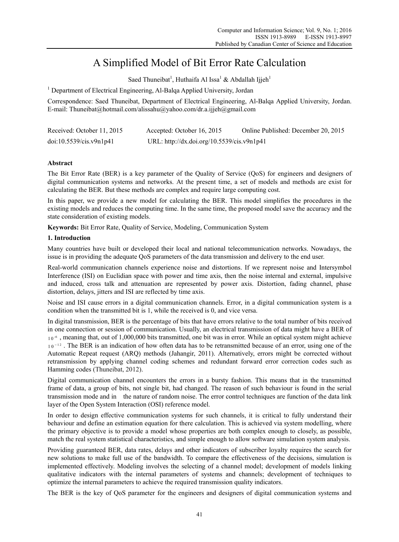# A Simplified Model of Bit Error Rate Calculation

Saed Thuneibat<sup>1</sup>, Huthaifa Al Issa<sup>1</sup> & Abdallah Ijjeh<sup>1</sup>

<sup>1</sup> Department of Electrical Engineering, Al-Balqa Applied University, Jordan

Correspondence: Saed Thuneibat, Department of Electrical Engineering, Al-Balqa Applied University, Jordan. E-mail: Thuneibat@hotmail.com/alissahu@yahoo.com/dr.a.ijjeh@gmail.com

| Received: October 11, 2015 | Accepted: October 16, 2015                 | Online Published: December 20, 2015 |
|----------------------------|--------------------------------------------|-------------------------------------|
| doi:10.5539/cis.v9n1p41    | URL: http://dx.doi.org/10.5539/cis.v9n1p41 |                                     |

## **Abstract**

The Bit Error Rate (BER) is a key parameter of the Quality of Service (QoS) for engineers and designers of digital communication systems and networks. At the present time, a set of models and methods are exist for calculating the BER. But these methods are complex and require large computing cost.

In this paper, we provide a new model for calculating the BER. This model simplifies the procedures in the existing models and reduces the computing time. In the same time, the proposed model save the accuracy and the state consideration of existing models.

**Keywords:** Bit Error Rate, Quality of Service, Modeling, Communication System

## **1. Introduction**

Many countries have built or developed their local and national telecommunication networks. Nowadays, the issue is in providing the adequate QoS parameters of the data transmission and delivery to the end user.

Real-world communication channels experience noise and distortions. If we represent noise and Intersymbol Interference (ISI) on Euclidian space with power and time axis, then the noise internal and external, impulsive and induced, cross talk and attenuation are represented by power axis. Distortion, fading channel, phase distortion, delays, jitters and ISI are reflected by time axis.

Noise and ISI cause errors in a digital communication channels. Error, in a digital communication system is a condition when the transmitted bit is 1, while the received is 0, and vice versa.

In digital transmission, BER is the percentage of bits that have errors relative to the total number of bits received in one connection or session of communication. Usually, an electrical transmission of data might have a BER of  $10^{-6}$ , meaning that, out of 1,000,000 bits transmitted, one bit was in error. While an optical system might achieve  $10^{-12}$ . The BER is an indication of how often data has to be retransmitted because of an error, using one of the Automatic Repeat request (ARQ) methods (Jahangir, 2011). Alternatively, errors might be corrected without retransmission by applying channel coding schemes and redundant forward error correction codes such as Hamming codes (Thuneibat, 2012).

Digital communication channel encounters the errors in a bursty fashion. This means that in the transmitted frame of data, a group of bits, not single bit, had changed. The reason of such behaviour is found in the serial transmission mode and in the nature of random noise. The error control techniques are function of the data link layer of the Open System Interaction (OSI) reference model.

In order to design effective communication systems for such channels, it is critical to fully understand their behaviour and define an estimation equation for there calculation. This is achieved via system modelling, where the primary objective is to provide a model whose properties are both complex enough to closely, as possible, match the real system statistical characteristics, and simple enough to allow software simulation system analysis.

Providing guaranteed BER, data rates, delays and other indicators of subscriber loyalty requires the search for new solutions to make full use of the bandwidth. To compare the effectiveness of the decisions, simulation is implemented effectively. Modeling involves the selecting of a channel model; development of models linking qualitative indicators with the internal parameters of systems and channels; development of techniques to optimize the internal parameters to achieve the required transmission quality indicators.

The BER is the key of QoS parameter for the engineers and designers of digital communication systems and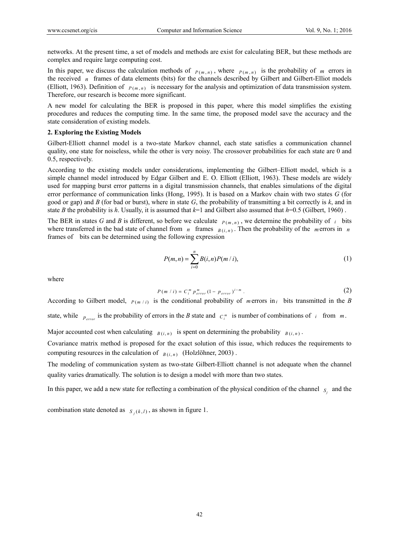networks. At the present time, a set of models and methods are exist for calculating BER, but these methods are complex and require large computing cost.

In this paper, we discuss the calculation methods of  $P(m,n)$ , where  $P(m,n)$  is the probability of m errors in the received  $n$  frames of data elements (bits) for the channels described by Gilbert and Gilbert-Elliot models (Elliott, 1963). Definition of  $P(m, n)$  is necessary for the analysis and optimization of data transmission system. Therefore, our research is become more significant.

A new model for calculating the BER is proposed in this paper, where this model simplifies the existing procedures and reduces the computing time. In the same time, the proposed model save the accuracy and the state consideration of existing models.

#### **2. Exploring the Existing Models**

Gilbert-Elliott channel model is a two-state Markov channel, each state satisfies a communication channel quality, one state for noiseless, while the other is very noisy. The crossover probabilities for each state are 0 and 0.5, respectively.

According to the existing models under considerations, implementing the Gilbert–Elliott model, which is a simple channel model introduced by Edgar Gilbert and E. O. Elliott (Elliott, 1963). These models are widely used for mapping burst error patterns in a digital transmission channels, that enables simulations of the digital error performance of communication links (Hong, 1995). It is based on a Markov chain with two states *G* (for good or gap) and *B* (for bad or burst), where in state *G*, the probability of transmitting a bit correctly is *k*, and in state *B* the probability is *h*. Usually, it is assumed that  $k=1$  and Gilbert also assumed that  $h=0.5$  (Gilbert, 1960).

The BER in states G and B is different, so before we calculate  $P(m, n)$ , we determine the probability of  $i$  bits where transferred in the bad state of channel from  $n$  frames  $B(i, n)$ . Then the probability of the *m* errors in  $n$ frames of bits can be determined using the following expression

$$
P(m,n) = \sum_{i=0}^{n} B(i,n)P(m/i),
$$
 (1)

where

$$
P(m / i) = C_i^m p_{error}^m (1 - p_{error})^{i - m}.
$$
 (2)

According to Gilbert model,  $P(m \mid i)$  is the conditional probability of merrors in *i* bits transmitted in the *B* 

state, while  $p_{error}$  is the probability of errors in the *B* state and  $C_i^m$  is number of combinations of *i* from *m*.

Major accounted cost when calculating  $B(i, n)$  is spent on determining the probability  $B(i, n)$ .

Covariance matrix method is proposed for the exact solution of this issue, which reduces the requirements to computing resources in the calculation of  $B(i, n)$  (Holzlöhner, 2003).

The modeling of communication system as two-state Gilbert-Elliott channel is not adequate when the channel quality varies dramatically. The solution is to design a model with more than two states.

In this paper, we add a new state for reflecting a combination of the physical condition of the channel  $s_i$  and the

combination state denoted as  $s_j(k, l)$ , as shown in figure 1.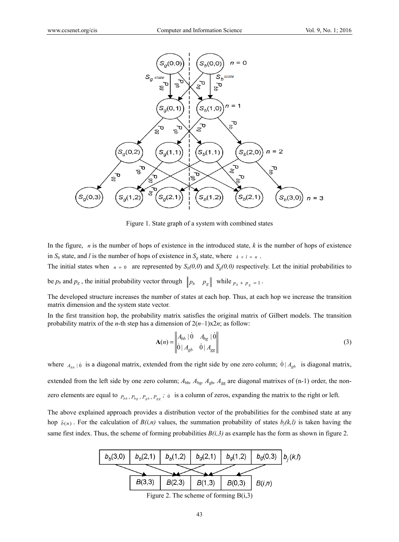

Figure 1. State graph of a system with combined states

In the figure,  $n$  is the number of hops of existence in the introduced state,  $k$  is the number of hops of existence in  $S_b$  state, and *l* is the number of hops of existence in  $S_g$  state, where  $k + l = n$ .

The initial states when  $n = 0$  are represented by  $S_b(0,0)$  and  $S_g(0,0)$  respectively. Let the initial probabilities to

be  $p_b$  and  $p_g$ , the initial probability vector through  $||p_b p_g||$  while  $p_b + p_g = 1$ .

The developed structure increases the number of states at each hop. Thus, at each hop we increase the transition matrix dimension and the system state vector.

In the first transition hop, the probability matrix satisfies the original matrix of Gilbert models. The transition probability matrix of the *n*-th step has a dimension of  $2(n-1)x2n$ ; as follow:

$$
\mathbf{A}(n) = \begin{vmatrix} A_{bb} & |\dot{0} & A_{bg} & |\dot{0}| \\ \dot{0} & |A_{gb} & \dot{0} & |A_{gg} \end{vmatrix} \tag{3}
$$

where  $A_{bb}$  |  $\dot{0}$  is a diagonal matrix, extended from the right side by one zero column;  $\dot{0} | A_{gb}$  is diagonal matrix, extended from the left side by one zero column;  $A_{bb}$ ,  $A_{bg}$ ,  $A_{gg}$  are diagonal matrixes of (n-1) order, the nonzero elements are equal to  $P_{bb}$ ,  $P_{bg}$ ,  $P_{gb}$ ,  $P_{gg}$ ,  $\dot{\theta}$  is a column of zeros, expanding the matrix to the right or left.

The above explained approach provides a distribution vector of the probabilities for the combined state at any hop  $\vec{b}(n)$ . For the calculation of  $B(i,n)$  values, the summation probability of states  $b_j(k,l)$  is taken having the same first index. Thus, the scheme of forming probabilities  $B(i,3)$  as example has the form as shown in figure 2.

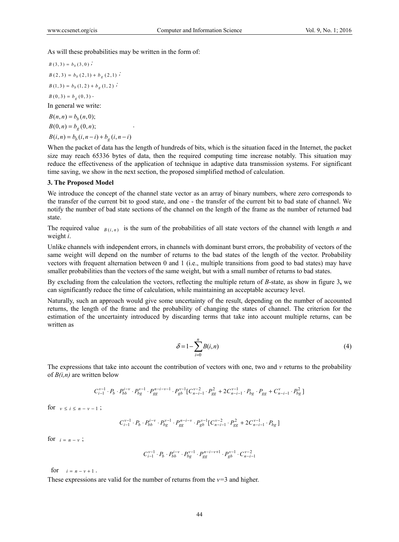As will these probabilities may be written in the form of:

 $B(3,3) = b_b(3,0)$ ;  $B(2,3) = b_b(2,1) + b_g(2,1)$ ;  $B(1, 3) = b_b(1, 2) + b_g(1, 2)$ ;  $B(0,3) = b_g(0,3)$ . In general we write:

.  $B(n,n) = b_b(n,0);$  $B(0, n) = b_g(0, n);$  $B(i, n) = b_b(i, n - i) + b_g(i, n - i)$ 

When the packet of data has the length of hundreds of bits, which is the situation faced in the Internet, the packet size may reach 65336 bytes of data, then the required computing time increase notably. This situation may reduce the effectiveness of the application of technique in adaptive data transmission systems. For significant time saving, we show in the next section, the proposed simplified method of calculation.

#### **3. The Proposed Model**

We introduce the concept of the channel state vector as an array of binary numbers, where zero corresponds to the transfer of the current bit to good state, and one - the transfer of the current bit to bad state of channel. We notify the number of bad state sections of the channel on the length of the frame as the number of returned bad state.

The required value  $B(i, n)$  is the sum of the probabilities of all state vectors of the channel with length *n* and weight *i*.

Unlike channels with independent errors, in channels with dominant burst errors, the probability of vectors of the same weight will depend on the number of returns to the bad states of the length of the vector. Probability vectors with frequent alternation between 0 and 1 (i.e., multiple transitions from good to bad states) may have smaller probabilities than the vectors of the same weight, but with a small number of returns to bad states.

By excluding from the calculation the vectors, reflecting the multiple return of *B*-state, as show in figure 3**,** we can significantly reduce the time of calculation, while maintaining an acceptable accuracy level.

Naturally, such an approach would give some uncertainty of the result, depending on the number of accounted returns, the length of the frame and the probability of changing the states of channel. The criterion for the estimation of the uncertainty introduced by discarding terms that take into account multiple returns, can be written as

$$
\delta = 1 - \sum_{i=0}^{n} B(i, n) \tag{4}
$$

The expressions that take into account the contribution of vectors with one, two and *v* returns to the probability of *B(i,n)* are written below

$$
C_{i-1}^{\nu-1}\cdot P_b\cdot P_{bb}^{i-\nu}\cdot P_{bg}^{\nu-1}\cdot P_{gg}^{n-i-\nu-1}\cdot P_{gb}^{\nu-1}[C_{n-i-1}^{\nu-2}\cdot P_{gg}^2+2C_{n-i-1}^{\nu-1}\cdot P_{bg}\cdot P_{gg}+C_{n-i-1}^{\nu}\cdot P_{bg}^2\,]
$$

for  $v \le i \le n-v-1$ ;

$$
C_{i-1}^{\nu-1}\cdot P_b\cdot P_{bb}^{i-\nu}\cdot P_{bg}^{\nu-1}\cdot P_{gg}^{n-i-\nu}\cdot P_{gb}^{\nu-1}[C_{n-i-1}^{\nu-2}\cdot P_{gg}^2+2C_{n-i-1}^{\nu-1}\cdot P_{bg}]
$$

for  $i = n - v$ ;

$$
C_{i-1}^{\nu-1}\cdot P_b\cdot P_{bb}^{i-\nu}\cdot P_{bg}^{\nu-1}\cdot P_{gg}^{n-i-\nu+1}\cdot P_{gb}^{\nu-1}\cdot C_{n-i-1}^{\nu-2}
$$

for  $i = n - v + 1$ .

These expressions are valid for the number of returns from the *v=*3 and higher.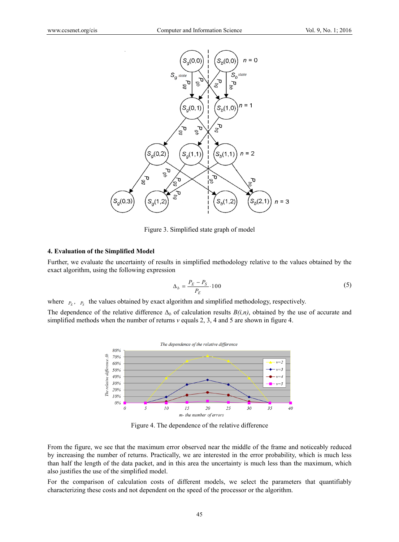

Figure 3. Simplified state graph of model

#### **4. Evaluation of the Simplified Model**

Further, we evaluate the uncertainty of results in simplified methodology relative to the values obtained by the exact algorithm, using the following expression

$$
\Delta_b = \frac{P_E - P_S}{P_E} \cdot 100\tag{5}
$$

where  $P_E$ ,  $P_S$  the values obtained by exact algorithm and simplified methodology, respectively.

The dependence of the relative difference  $\Delta_b$  of calculation results  $B(i,n)$ , obtained by the use of accurate and simplified methods when the number of returns *v* equals 2, 3, 4 and 5 are shown in figure 4.



Figure 4. The dependence of the relative difference

From the figure, we see that the maximum error observed near the middle of the frame and noticeably reduced by increasing the number of returns. Practically, we are interested in the error probability, which is much less than half the length of the data packet, and in this area the uncertainty is much less than the maximum, which also justifies the use of the simplified model.

For the comparison of calculation costs of different models, we select the parameters that quantifiably characterizing these costs and not dependent on the speed of the processor or the algorithm.